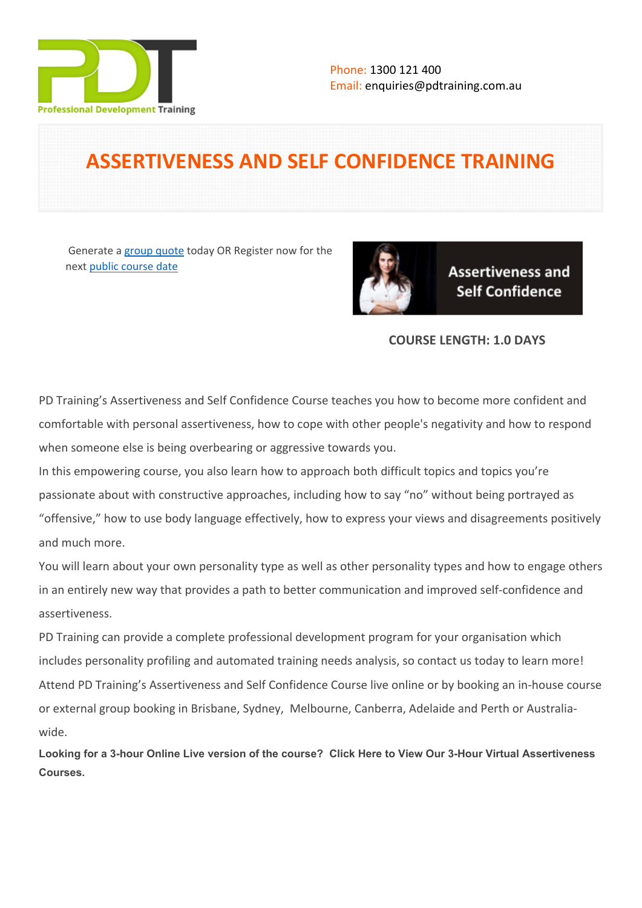

# **ASSERTIVENESS AND SELF CONFIDENCE TRAINING**

Generate a [group quote](https://pdtraining.com.au/inhouse-training-quote?cse=PDT0003) today OR Register now for the next [public course date](https://pdtraining.com.au/booking?schedulecode=ybIcyost0QnyYM4piqzE0gYieLCuZgaGDpUuZiD0u0oAqtJAcAdElmyrnz8WW8DUQR4J1KA9XIk91y2VcbrzdFuq2DhAkQevwEUJzaICadRMcyzZHmUUReRkwNQxC9YgEYMyMtvbDYz9XRnEds376u&countryCode=AU¤cyCode=AU)



**Assertiveness and Self Confidence** 

# **COURSE LENGTH: 1.0 DAYS**

PD Training's Assertiveness and Self Confidence Course teaches you how to become more confident and comfortable with personal assertiveness, how to cope with other people's negativity and how to respond when someone else is being overbearing or aggressive towards you.

In this empowering course, you also learn how to approach both difficult topics and topics you're passionate about with constructive approaches, including how to say "no" without being portrayed as "offensive," how to use body language effectively, how to express your views and disagreements positively and much more.

You will learn about your own personality type as well as other personality types and how to engage others in an entirely new way that provides a path to better communication and improved self-confidence and assertiveness.

PD Training can provide a complete professional development program for your organisation which includes personality profiling and automated training needs analysis, so contact us today to learn more! Attend PD Training's [Assertiveness and Self Confidence Course live online](https://pdtraining.com.au/remote-live-training-classes/assertiveness-and-self-confidence-training-Online-Instructor-led-3hours) or by booking an in-house course or external group booking in Brisbane, Sydney, Melbourne, Canberra, Adelaide and Perth or Australiawide.

**Looking for a 3-hour Online Live version of the course? [Click Here to View Our 3-Hour Virtual Assertiveness](https://pdtraining.com.au/remote-live-training-classes/assertiveness-and-self-confidence-training-Online-Instructor-led-3hours)  [Courses.](https://pdtraining.com.au/remote-live-training-classes/assertiveness-and-self-confidence-training-Online-Instructor-led-3hours)**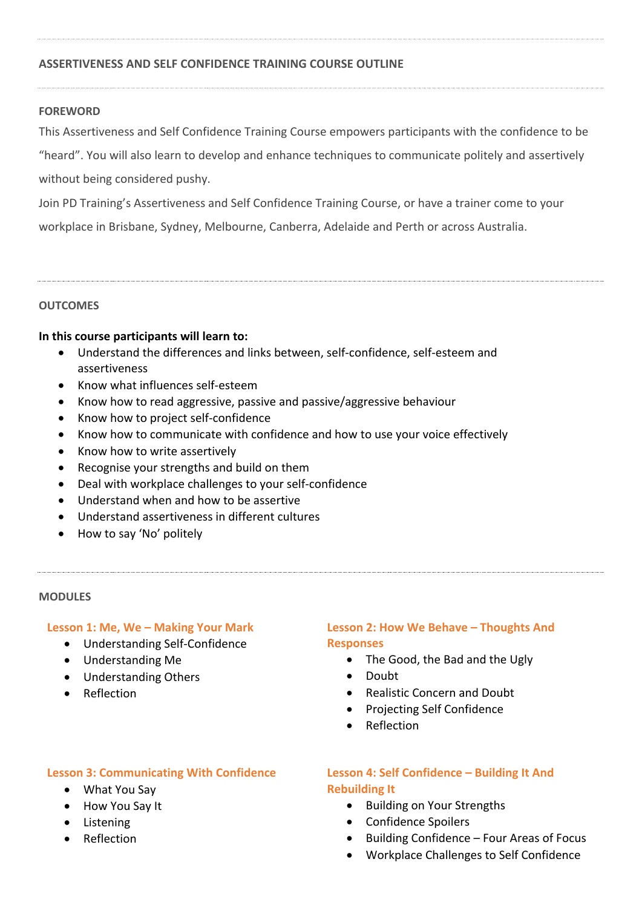## **ASSERTIVENESS AND SELF CONFIDENCE TRAINING COURSE OUTLINE**

#### **FOREWORD**

This Assertiveness and Self Confidence Training Course empowers participants with the confidence to be

"heard". You will also learn to develop and enhance techniques to communicate politely and assertively without being considered pushy.

Join PD Training's Assertiveness and Self Confidence Training Course, or have a trainer come to your workplace in Brisbane, Sydney, Melbourne, Canberra, Adelaide and Perth or across Australia.

#### **OUTCOMES**

#### **In this course participants will learn to:**

- Understand the differences and links between, self-confidence, self-esteem and assertiveness
- Know what influences self-esteem
- Know how to read aggressive, passive and passive/aggressive behaviour
- Know how to project self-confidence
- Know how to communicate with confidence and how to use your voice effectively
- Know how to write assertively
- Recognise your strengths and build on them
- Deal with workplace challenges to your self-confidence
- Understand when and how to be assertive
- Understand assertiveness in different cultures
- How to say 'No' politely

#### **MODULES**

#### **Lesson 1: Me, We – Making Your Mark**

- Understanding Self-Confidence
- Understanding Me
- Understanding Others
- Reflection

## **Lesson 2: How We Behave – Thoughts And Responses**

- The Good, the Bad and the Ugly
- Doubt
- Realistic Concern and Doubt
- Projecting Self Confidence
- Reflection

## **Lesson 3: Communicating With Confidence**

- What You Say
- How You Say It
- **•** Listening
- **•** Reflection

# **Lesson 4: Self Confidence – Building It And Rebuilding It**

- Building on Your Strengths
- Confidence Spoilers
- Building Confidence Four Areas of Focus
- Workplace Challenges to Self Confidence